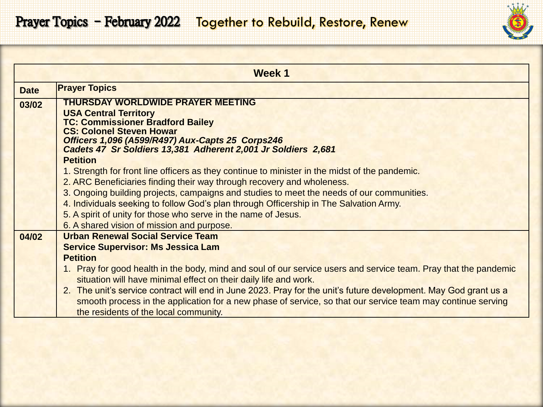|  |  |  |  | ş, | ه |  |  |
|--|--|--|--|----|---|--|--|
|  |  |  |  |    |   |  |  |

|             | Week 1                                                                                                            |  |  |  |  |  |
|-------------|-------------------------------------------------------------------------------------------------------------------|--|--|--|--|--|
| <b>Date</b> | <b>Prayer Topics</b>                                                                                              |  |  |  |  |  |
| 03/02       | THURSDAY WORLDWIDE PRAYER MEETING                                                                                 |  |  |  |  |  |
|             | <b>USA Central Territory</b><br><b>TC: Commissioner Bradford Bailey</b>                                           |  |  |  |  |  |
|             | <b>CS: Colonel Steven Howar</b>                                                                                   |  |  |  |  |  |
|             | Officers 1,096 (A599/R497) Aux-Capts 25 Corps246<br>Cadets 47 Sr Soldiers 13,381 Adherent 2,001 Jr Soldiers 2,681 |  |  |  |  |  |
|             | <b>Petition</b>                                                                                                   |  |  |  |  |  |
|             | 1. Strength for front line officers as they continue to minister in the midst of the pandemic.                    |  |  |  |  |  |
|             | 2. ARC Beneficiaries finding their way through recovery and wholeness.                                            |  |  |  |  |  |
|             | 3. Ongoing building projects, campaigns and studies to meet the needs of our communities.                         |  |  |  |  |  |
|             | 4. Individuals seeking to follow God's plan through Officership in The Salvation Army.                            |  |  |  |  |  |
|             | 5. A spirit of unity for those who serve in the name of Jesus.                                                    |  |  |  |  |  |
|             | 6. A shared vision of mission and purpose.                                                                        |  |  |  |  |  |
| 04/02       | <b>Urban Renewal Social Service Team</b>                                                                          |  |  |  |  |  |
|             | <b>Service Supervisor: Ms Jessica Lam</b>                                                                         |  |  |  |  |  |
|             | <b>Petition</b>                                                                                                   |  |  |  |  |  |
|             | 1. Pray for good health in the body, mind and soul of our service users and service team. Pray that the pandemic  |  |  |  |  |  |
|             | situation will have minimal effect on their daily life and work.                                                  |  |  |  |  |  |
|             | 2. The unit's service contract will end in June 2023. Pray for the unit's future development. May God grant us a  |  |  |  |  |  |
|             | smooth process in the application for a new phase of service, so that our service team may continue serving       |  |  |  |  |  |
|             | the residents of the local community.                                                                             |  |  |  |  |  |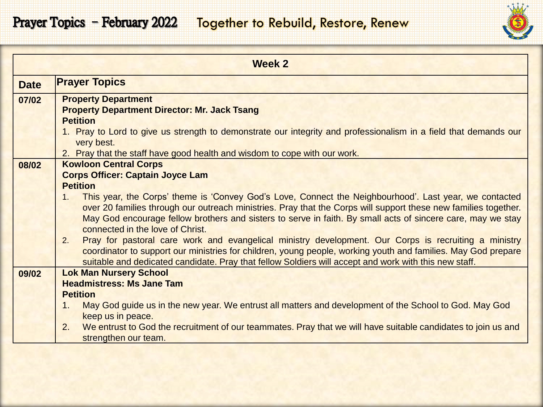## Prayer Topics - February 2022 Together to Rebuild, Restore, Renew

|             | <b>Week 2</b>                                                                                                                                                                                                          |
|-------------|------------------------------------------------------------------------------------------------------------------------------------------------------------------------------------------------------------------------|
| <b>Date</b> | <b>Prayer Topics</b>                                                                                                                                                                                                   |
| 07/02       | <b>Property Department</b>                                                                                                                                                                                             |
|             | <b>Property Department Director: Mr. Jack Tsang</b>                                                                                                                                                                    |
|             | <b>Petition</b>                                                                                                                                                                                                        |
|             | 1. Pray to Lord to give us strength to demonstrate our integrity and professionalism in a field that demands our                                                                                                       |
|             | very best.<br>2. Pray that the staff have good health and wisdom to cope with our work.                                                                                                                                |
| 08/02       | <b>Kowloon Central Corps</b>                                                                                                                                                                                           |
|             | <b>Corps Officer: Captain Joyce Lam</b>                                                                                                                                                                                |
|             | <b>Petition</b>                                                                                                                                                                                                        |
|             | This year, the Corps' theme is 'Convey God's Love, Connect the Neighbourhood'. Last year, we contacted<br>1.                                                                                                           |
|             | over 20 families through our outreach ministries. Pray that the Corps will support these new families together.                                                                                                        |
|             | May God encourage fellow brothers and sisters to serve in faith. By small acts of sincere care, may we stay                                                                                                            |
|             | connected in the love of Christ.                                                                                                                                                                                       |
|             | Pray for pastoral care work and evangelical ministry development. Our Corps is recruiting a ministry<br>2.                                                                                                             |
|             | coordinator to support our ministries for children, young people, working youth and families. May God prepare<br>suitable and dedicated candidate. Pray that fellow Soldiers will accept and work with this new staff. |
| 09/02       | <b>Lok Man Nursery School</b>                                                                                                                                                                                          |
|             | <b>Headmistress: Ms Jane Tam</b>                                                                                                                                                                                       |
|             | <b>Petition</b>                                                                                                                                                                                                        |
|             | May God guide us in the new year. We entrust all matters and development of the School to God. May God<br>1 <sub>1</sub>                                                                                               |
|             | keep us in peace.                                                                                                                                                                                                      |
|             | We entrust to God the recruitment of our teammates. Pray that we will have suitable candidates to join us and<br>2.                                                                                                    |
|             | strengthen our team.                                                                                                                                                                                                   |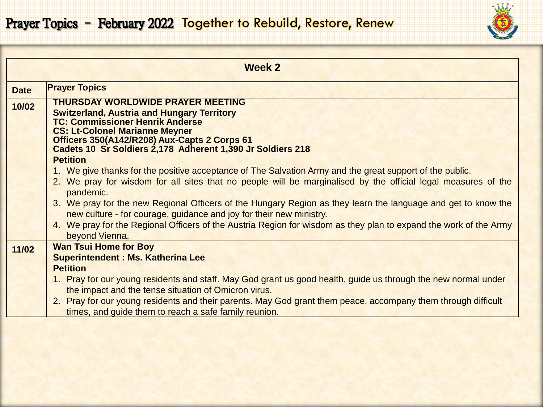

|             | Week 2                                                                                                                                                                                                                                                                                                                                                                                                                                                                                                                                                                                   |
|-------------|------------------------------------------------------------------------------------------------------------------------------------------------------------------------------------------------------------------------------------------------------------------------------------------------------------------------------------------------------------------------------------------------------------------------------------------------------------------------------------------------------------------------------------------------------------------------------------------|
| <b>Date</b> | <b>Prayer Topics</b>                                                                                                                                                                                                                                                                                                                                                                                                                                                                                                                                                                     |
| 10/02       | <b>THURSDAY WORLDWIDE PRAYER MEETING</b><br><b>Switzerland, Austria and Hungary Territory</b><br><b>TC: Commissioner Henrik Anderse</b><br><b>CS: Lt-Colonel Marianne Meyner</b><br>Officers 350(A142/R208) Aux-Capts 2 Corps 61<br>Cadets 10 Sr Soldiers 2,178 Adherent 1,390 Jr Soldiers 218                                                                                                                                                                                                                                                                                           |
|             | <b>Petition</b><br>1. We give thanks for the positive acceptance of The Salvation Army and the great support of the public.<br>2. We pray for wisdom for all sites that no people will be marginalised by the official legal measures of the<br>pandemic.<br>3. We pray for the new Regional Officers of the Hungary Region as they learn the language and get to know the<br>new culture - for courage, guidance and joy for their new ministry.<br>4. We pray for the Regional Officers of the Austria Region for wisdom as they plan to expand the work of the Army<br>beyond Vienna. |
| 11/02       | <b>Wan Tsui Home for Boy</b><br><b>Superintendent: Ms. Katherina Lee</b><br><b>Petition</b><br>1. Pray for our young residents and staff. May God grant us good health, guide us through the new normal under<br>the impact and the tense situation of Omicron virus.<br>2. Pray for our young residents and their parents. May God grant them peace, accompany them through difficult<br>times, and guide them to reach a safe family reunion.                                                                                                                                          |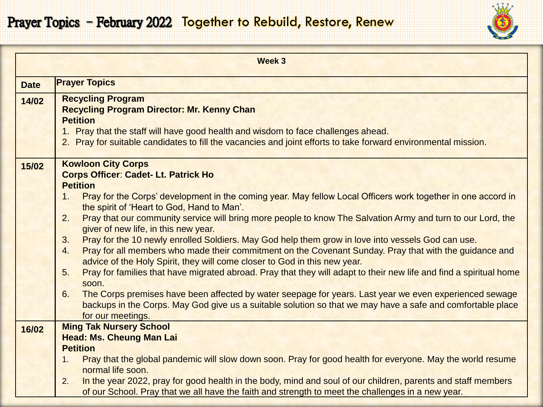

|             | Week 3                                                                                                                                                                                                                                                                                                                                                                                                                                                                                                                                                                                                                                                                                                                                                                                                                                                                                                                                                                                                                                                                                                                       |
|-------------|------------------------------------------------------------------------------------------------------------------------------------------------------------------------------------------------------------------------------------------------------------------------------------------------------------------------------------------------------------------------------------------------------------------------------------------------------------------------------------------------------------------------------------------------------------------------------------------------------------------------------------------------------------------------------------------------------------------------------------------------------------------------------------------------------------------------------------------------------------------------------------------------------------------------------------------------------------------------------------------------------------------------------------------------------------------------------------------------------------------------------|
| <b>Date</b> | <b>Prayer Topics</b>                                                                                                                                                                                                                                                                                                                                                                                                                                                                                                                                                                                                                                                                                                                                                                                                                                                                                                                                                                                                                                                                                                         |
| 14/02       | <b>Recycling Program</b><br><b>Recycling Program Director: Mr. Kenny Chan</b><br><b>Petition</b><br>1. Pray that the staff will have good health and wisdom to face challenges ahead.<br>2. Pray for suitable candidates to fill the vacancies and joint efforts to take forward environmental mission.                                                                                                                                                                                                                                                                                                                                                                                                                                                                                                                                                                                                                                                                                                                                                                                                                      |
| 15/02       | <b>Kowloon City Corps</b><br><b>Corps Officer: Cadet- Lt. Patrick Ho</b><br><b>Petition</b><br>Pray for the Corps' development in the coming year. May fellow Local Officers work together in one accord in<br>1.<br>the spirit of 'Heart to God, Hand to Man'.<br>Pray that our community service will bring more people to know The Salvation Army and turn to our Lord, the<br>2.<br>giver of new life, in this new year.<br>Pray for the 10 newly enrolled Soldiers. May God help them grow in love into vessels God can use.<br>3.<br>Pray for all members who made their commitment on the Covenant Sunday. Pray that with the guidance and<br>4.<br>advice of the Holy Spirit, they will come closer to God in this new year.<br>Pray for families that have migrated abroad. Pray that they will adapt to their new life and find a spiritual home<br>5.<br>soon.<br>The Corps premises have been affected by water seepage for years. Last year we even experienced sewage<br>6.<br>backups in the Corps. May God give us a suitable solution so that we may have a safe and comfortable place<br>for our meetings. |
| 16/02       | <b>Ming Tak Nursery School</b><br><b>Head: Ms. Cheung Man Lai</b><br><b>Petition</b><br>Pray that the global pandemic will slow down soon. Pray for good health for everyone. May the world resume<br>1.<br>normal life soon.<br>In the year 2022, pray for good health in the body, mind and soul of our children, parents and staff members<br>2.<br>of our School. Pray that we all have the faith and strength to meet the challenges in a new year.                                                                                                                                                                                                                                                                                                                                                                                                                                                                                                                                                                                                                                                                     |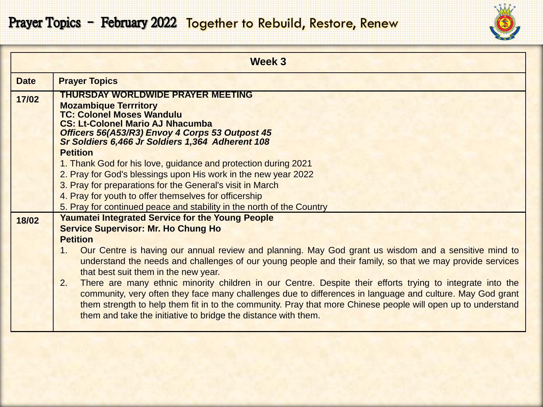

|                                                           | Week 3                                                                                                                                                                                                                                                                                                                                                                                                         |  |  |  |  |  |
|-----------------------------------------------------------|----------------------------------------------------------------------------------------------------------------------------------------------------------------------------------------------------------------------------------------------------------------------------------------------------------------------------------------------------------------------------------------------------------------|--|--|--|--|--|
| <b>Date</b>                                               | <b>Prayer Topics</b>                                                                                                                                                                                                                                                                                                                                                                                           |  |  |  |  |  |
| 17/02                                                     | <b>THURSDAY WORLDWIDE PRAYER MEETING</b><br><b>Mozambique Terrritory</b><br><b>TC: Colonel Moses Wandulu</b>                                                                                                                                                                                                                                                                                                   |  |  |  |  |  |
|                                                           | <b>CS: Lt-Colonel Mario AJ Nhacumba</b><br>Officers 56(A53/R3) Envoy 4 Corps 53 Outpost 45<br>Sr Soldiers 6,466 Jr Soldiers 1,364 Adherent 108<br><b>Petition</b>                                                                                                                                                                                                                                              |  |  |  |  |  |
|                                                           | 1. Thank God for his love, guidance and protection during 2021<br>2. Pray for God's blessings upon His work in the new year 2022                                                                                                                                                                                                                                                                               |  |  |  |  |  |
| 3. Pray for preparations for the General's visit in March |                                                                                                                                                                                                                                                                                                                                                                                                                |  |  |  |  |  |
|                                                           | 4. Pray for youth to offer themselves for officership<br>5. Pray for continued peace and stability in the north of the Country                                                                                                                                                                                                                                                                                 |  |  |  |  |  |
| 18/02                                                     | <b>Yaumatei Integrated Service for the Young People</b><br><b>Service Supervisor: Mr. Ho Chung Ho</b>                                                                                                                                                                                                                                                                                                          |  |  |  |  |  |
|                                                           | <b>Petition</b>                                                                                                                                                                                                                                                                                                                                                                                                |  |  |  |  |  |
|                                                           | 1. Our Centre is having our annual review and planning. May God grant us wisdom and a sensitive mind to<br>understand the needs and challenges of our young people and their family, so that we may provide services<br>that best suit them in the new year.                                                                                                                                                   |  |  |  |  |  |
|                                                           | 2.<br>There are many ethnic minority children in our Centre. Despite their efforts trying to integrate into the<br>community, very often they face many challenges due to differences in language and culture. May God grant<br>them strength to help them fit in to the community. Pray that more Chinese people will open up to understand<br>them and take the initiative to bridge the distance with them. |  |  |  |  |  |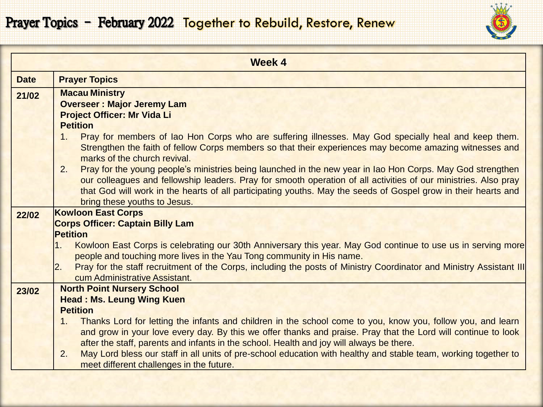## Prayer Topics - February 2022 Together to Rebuild, Restore, Renew

|             | <b>Week 4</b>                                                                                                                                                                                             |
|-------------|-----------------------------------------------------------------------------------------------------------------------------------------------------------------------------------------------------------|
| <b>Date</b> | <b>Prayer Topics</b>                                                                                                                                                                                      |
| 21/02       | <b>Macau Ministry</b>                                                                                                                                                                                     |
|             | <b>Overseer: Major Jeremy Lam</b>                                                                                                                                                                         |
|             | <b>Project Officer: Mr Vida Li</b><br><b>Petition</b>                                                                                                                                                     |
|             | Pray for members of lao Hon Corps who are suffering illnesses. May God specially heal and keep them.<br>1.                                                                                                |
|             | Strengthen the faith of fellow Corps members so that their experiences may become amazing witnesses and                                                                                                   |
|             | marks of the church revival.                                                                                                                                                                              |
|             | Pray for the young people's ministries being launched in the new year in Iao Hon Corps. May God strengthen<br>2.                                                                                          |
|             | our colleagues and fellowship leaders. Pray for smooth operation of all activities of our ministries. Also pray                                                                                           |
|             | that God will work in the hearts of all participating youths. May the seeds of Gospel grow in their hearts and                                                                                            |
|             | bring these youths to Jesus.                                                                                                                                                                              |
| 22/02       | <b>Kowloon East Corps</b>                                                                                                                                                                                 |
|             | <b>Corps Officer: Captain Billy Lam</b><br><b>Petition</b>                                                                                                                                                |
|             | Kowloon East Corps is celebrating our 30th Anniversary this year. May God continue to use us in serving more<br>1.                                                                                        |
|             | people and touching more lives in the Yau Tong community in His name.                                                                                                                                     |
|             | Pray for the staff recruitment of the Corps, including the posts of Ministry Coordinator and Ministry Assistant III<br>$\overline{2}$ .                                                                   |
|             | cum Administrative Assistant.                                                                                                                                                                             |
| 23/02       | <b>North Point Nursery School</b>                                                                                                                                                                         |
|             | <b>Head: Ms. Leung Wing Kuen</b>                                                                                                                                                                          |
|             | <b>Petition</b>                                                                                                                                                                                           |
|             | Thanks Lord for letting the infants and children in the school come to you, know you, follow you, and learn<br>1.                                                                                         |
|             | and grow in your love every day. By this we offer thanks and praise. Pray that the Lord will continue to look<br>after the staff, parents and infants in the school. Health and joy will always be there. |
|             | May Lord bless our staff in all units of pre-school education with healthy and stable team, working together to<br>2.                                                                                     |
|             | meet different challenges in the future.                                                                                                                                                                  |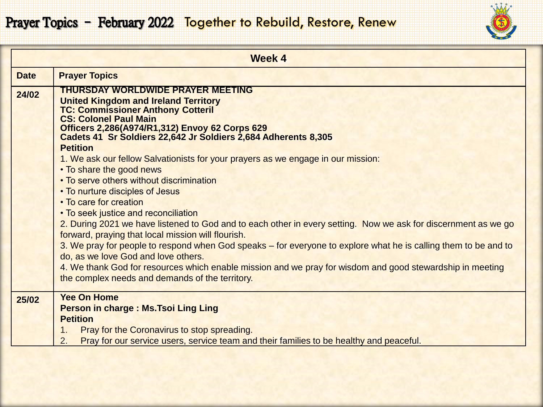

|             | <b>Week 4</b>                                                                                                                                                                                                         |
|-------------|-----------------------------------------------------------------------------------------------------------------------------------------------------------------------------------------------------------------------|
| <b>Date</b> | <b>Prayer Topics</b>                                                                                                                                                                                                  |
| 24/02       | <b>THURSDAY WORLDWIDE PRAYER MEETING</b><br><b>United Kingdom and Ireland Territory</b><br><b>TC: Commissioner Anthony Cotteril</b><br><b>CS: Colonel Paul Main</b><br>Officers 2,286(A974/R1,312) Envoy 62 Corps 629 |
|             | Cadets 41 Sr Soldiers 22,642 Jr Soldiers 2,684 Adherents 8,305<br><b>Petition</b>                                                                                                                                     |
|             | 1. We ask our fellow Salvationists for your prayers as we engage in our mission:<br>• To share the good news                                                                                                          |
|             | • To serve others without discrimination                                                                                                                                                                              |
|             | • To nurture disciples of Jesus<br>• To care for creation                                                                                                                                                             |
|             | • To seek justice and reconciliation<br>2. During 2021 we have listened to God and to each other in every setting. Now we ask for discernment as we go<br>forward, praying that local mission will flourish.          |
|             | 3. We pray for people to respond when God speaks – for everyone to explore what he is calling them to be and to<br>do, as we love God and love others.                                                                |
|             | 4. We thank God for resources which enable mission and we pray for wisdom and good stewardship in meeting<br>the complex needs and demands of the territory.                                                          |
| 25/02       | <b>Yee On Home</b><br>Person in charge : Ms. Tsoi Ling Ling                                                                                                                                                           |
|             | <b>Petition</b>                                                                                                                                                                                                       |
|             | Pray for the Coronavirus to stop spreading.<br>1.                                                                                                                                                                     |
|             | Pray for our service users, service team and their families to be healthy and peaceful.<br>2.                                                                                                                         |